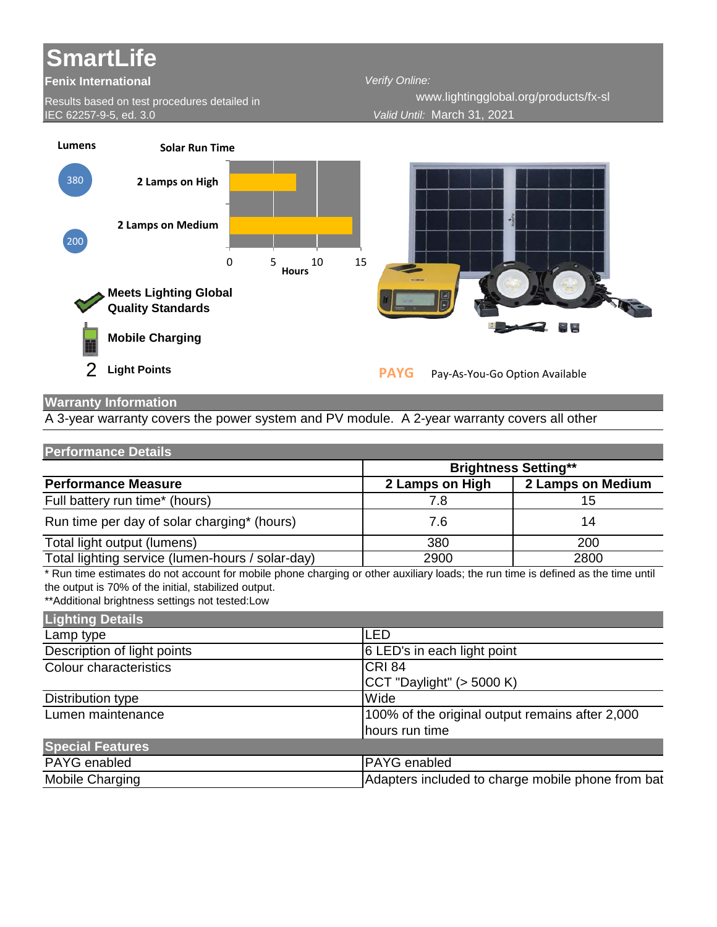## **SmartLife**

## **Fenix International**

Results based on test procedures detailed in IEC 62257-9-5, ed. 3.0

*Verify Online: Valid Until:* March 31, 2021 www.lightingglobal.org/products/fx-sl



## **Warranty Information**

A 3-year warranty covers the power system and PV module. A 2-year warranty covers all other

| <b>Performance Details</b> |  |
|----------------------------|--|
|----------------------------|--|

|                                                  |                 | <b>Brightness Setting**</b> |
|--------------------------------------------------|-----------------|-----------------------------|
| <b>Performance Measure</b>                       | 2 Lamps on High | 2 Lamps on Medium           |
| Full battery run time* (hours)                   | 7.8             | 15                          |
| Run time per day of solar charging* (hours)      | 7.6             | 14                          |
| Total light output (lumens)                      | 380             | 200                         |
| Total lighting service (lumen-hours / solar-day) | 2900            | 2800                        |

\* Run time estimates do not account for mobile phone charging or other auxiliary loads; the run time is defined as the time until the output is 70% of the initial, stabilized output.

\*\*Additional brightness settings not tested:Low

| Lighting Details            |                                                   |
|-----------------------------|---------------------------------------------------|
| Lamp type                   | LED                                               |
| Description of light points | 6 LED's in each light point                       |
| Colour characteristics      | <b>CRI 84</b>                                     |
|                             | $ CCT$ "Daylight" ( $>$ 5000 K)                   |
| Distribution type           | Wide                                              |
| Lumen maintenance           | 100% of the original output remains after 2,000   |
|                             | hours run time                                    |
| <b>Special Features</b>     |                                                   |
| PAYG enabled                | <b>PAYG</b> enabled                               |
| Mobile Charging             | Adapters included to charge mobile phone from bat |